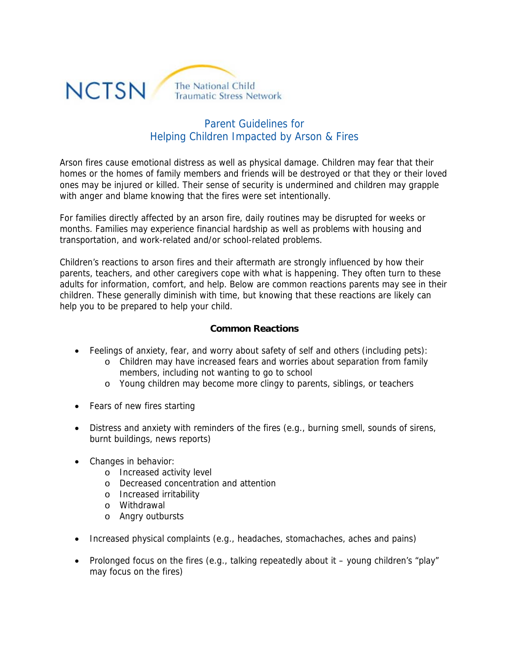

# Parent Guidelines for Helping Children Impacted by Arson & Fires

Arson fires cause emotional distress as well as physical damage. Children may fear that their homes or the homes of family members and friends will be destroyed or that they or their loved ones may be injured or killed. Their sense of security is undermined and children may grapple with anger and blame knowing that the fires were set intentionally.

For families directly affected by an arson fire, daily routines may be disrupted for weeks or months. Families may experience financial hardship as well as problems with housing and transportation, and work-related and/or school-related problems.

Children's reactions to arson fires and their aftermath are strongly influenced by how their parents, teachers, and other caregivers cope with what is happening. They often turn to these adults for information, comfort, and help. Below are common reactions parents may see in their children. These generally diminish with time, but knowing that these reactions are likely can help you to be prepared to help your child.

### **Common Reactions**

- Feelings of anxiety, fear, and worry about safety of self and others (including pets):
	- o Children may have increased fears and worries about separation from family members, including not wanting to go to school
	- o Young children may become more clingy to parents, siblings, or teachers
- Fears of new fires starting
- Distress and anxiety with reminders of the fires (e.g., burning smell, sounds of sirens, burnt buildings, news reports)
- Changes in behavior:
	- o Increased activity level
	- o Decreased concentration and attention
	- o Increased irritability
	- o Withdrawal
	- o Angry outbursts
- Increased physical complaints (e.g., headaches, stomachaches, aches and pains)
- Prolonged focus on the fires (e.g., talking repeatedly about it young children's "play" may focus on the fires)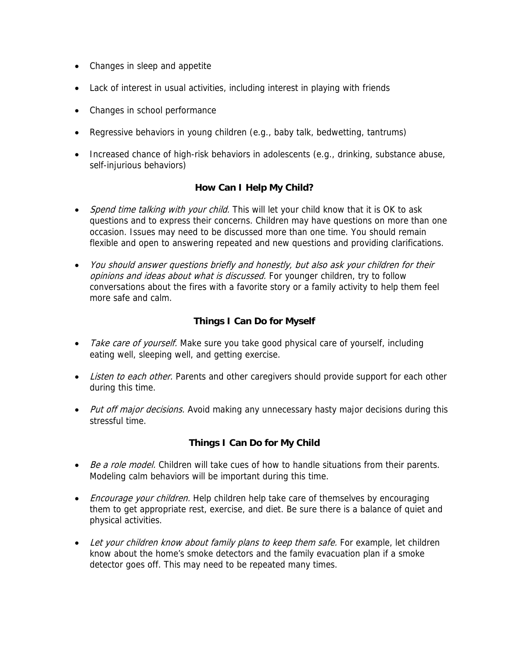- Changes in sleep and appetite
- Lack of interest in usual activities, including interest in playing with friends
- Changes in school performance
- Regressive behaviors in young children (e.g., baby talk, bedwetting, tantrums)
- Increased chance of high-risk behaviors in adolescents (e.g., drinking, substance abuse, self-injurious behaviors)

### **How Can I Help My Child?**

- Spend time talking with your child. This will let your child know that it is OK to ask questions and to express their concerns. Children may have questions on more than one occasion. Issues may need to be discussed more than one time. You should remain flexible and open to answering repeated and new questions and providing clarifications.
- You should answer questions briefly and honestly, but also ask your children for their opinions and ideas about what is discussed. For younger children, try to follow conversations about the fires with a favorite story or a family activity to help them feel more safe and calm.

### **Things I Can Do for Myself**

- Take care of yourself. Make sure you take good physical care of yourself, including eating well, sleeping well, and getting exercise.
- Listen to each other. Parents and other caregivers should provide support for each other during this time.
- Put off major decisions. Avoid making any unnecessary hasty major decisions during this stressful time.

## **Things I Can Do for My Child**

- Be a role model. Children will take cues of how to handle situations from their parents. Modeling calm behaviors will be important during this time.
- *Encourage your children*. Help children help take care of themselves by encouraging them to get appropriate rest, exercise, and diet. Be sure there is a balance of quiet and physical activities.
- Let your children know about family plans to keep them safe. For example, let children know about the home's smoke detectors and the family evacuation plan if a smoke detector goes off. This may need to be repeated many times.